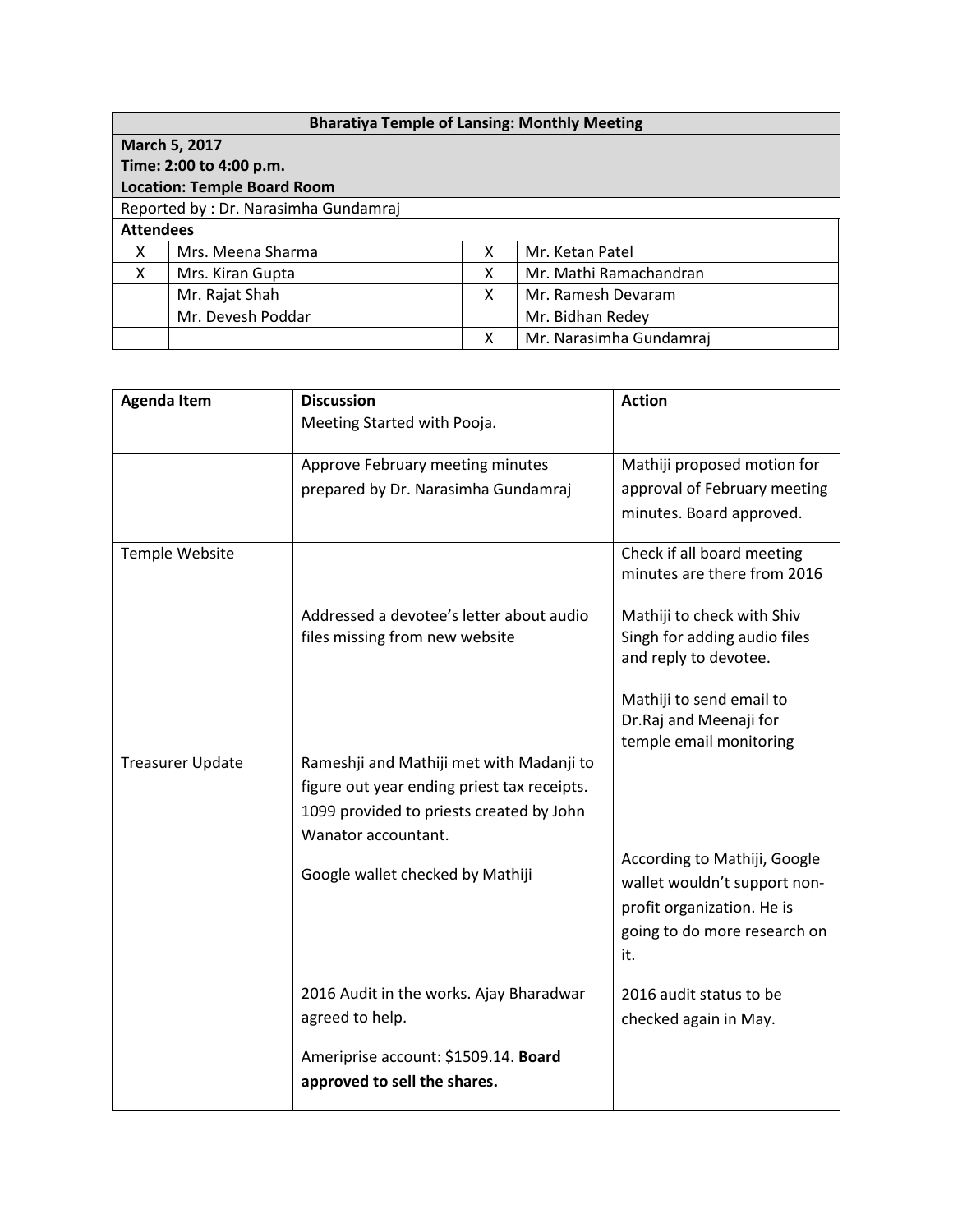| <b>Bharatiya Temple of Lansing: Monthly Meeting</b> |                   |   |                         |  |  |  |
|-----------------------------------------------------|-------------------|---|-------------------------|--|--|--|
| March 5, 2017                                       |                   |   |                         |  |  |  |
| Time: 2:00 to 4:00 p.m.                             |                   |   |                         |  |  |  |
| <b>Location: Temple Board Room</b>                  |                   |   |                         |  |  |  |
| Reported by: Dr. Narasimha Gundamraj                |                   |   |                         |  |  |  |
| <b>Attendees</b>                                    |                   |   |                         |  |  |  |
| X                                                   | Mrs. Meena Sharma | X | Mr. Ketan Patel         |  |  |  |
| X                                                   | Mrs. Kiran Gupta  | х | Mr. Mathi Ramachandran  |  |  |  |
|                                                     | Mr. Rajat Shah    | X | Mr. Ramesh Devaram      |  |  |  |
|                                                     | Mr. Devesh Poddar |   | Mr. Bidhan Redey        |  |  |  |
|                                                     |                   | Χ | Mr. Narasimha Gundamraj |  |  |  |

| <b>Agenda Item</b>      | <b>Discussion</b>                           | <b>Action</b>                                                                              |
|-------------------------|---------------------------------------------|--------------------------------------------------------------------------------------------|
|                         | Meeting Started with Pooja.                 |                                                                                            |
|                         | Approve February meeting minutes            | Mathiji proposed motion for                                                                |
|                         | prepared by Dr. Narasimha Gundamraj         | approval of February meeting                                                               |
|                         |                                             | minutes. Board approved.                                                                   |
| Temple Website          |                                             | Check if all board meeting                                                                 |
|                         |                                             | minutes are there from 2016                                                                |
|                         | Addressed a devotee's letter about audio    | Mathiji to check with Shiv                                                                 |
|                         | files missing from new website              | Singh for adding audio files                                                               |
|                         |                                             | and reply to devotee.                                                                      |
|                         |                                             | Mathiji to send email to                                                                   |
|                         |                                             | Dr.Raj and Meenaji for                                                                     |
|                         |                                             | temple email monitoring                                                                    |
| <b>Treasurer Update</b> | Rameshji and Mathiji met with Madanji to    |                                                                                            |
|                         | figure out year ending priest tax receipts. |                                                                                            |
|                         | 1099 provided to priests created by John    |                                                                                            |
|                         | Wanator accountant.                         |                                                                                            |
|                         | Google wallet checked by Mathiji            | According to Mathiji, Google<br>wallet wouldn't support non-<br>profit organization. He is |
|                         |                                             | going to do more research on<br>it.                                                        |
|                         | 2016 Audit in the works. Ajay Bharadwar     | 2016 audit status to be                                                                    |
|                         | agreed to help.                             | checked again in May.                                                                      |
|                         | Ameriprise account: \$1509.14. Board        |                                                                                            |
|                         | approved to sell the shares.                |                                                                                            |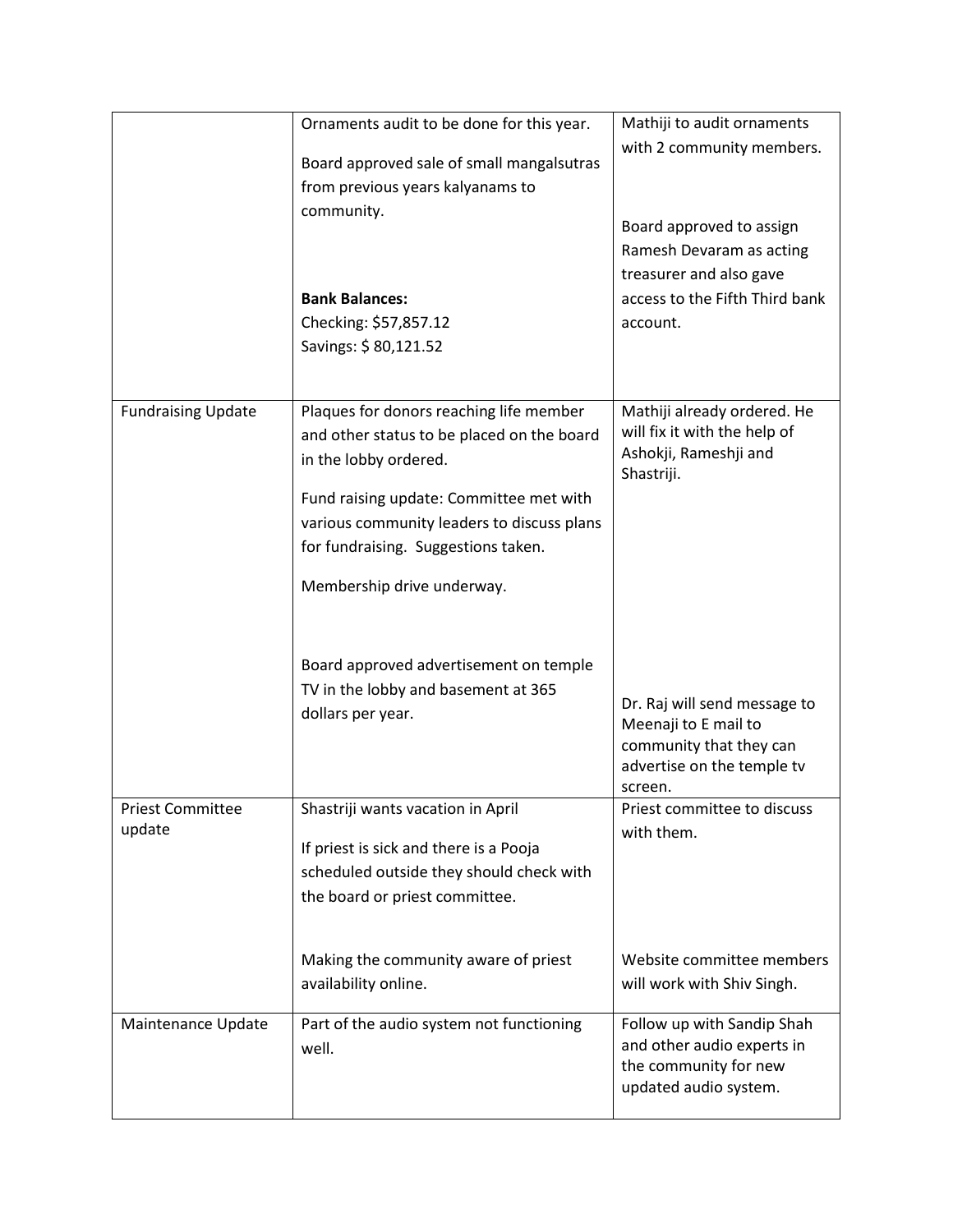|                            | Ornaments audit to be done for this year.<br>Board approved sale of small mangalsutras<br>from previous years kalyanams to<br>community.<br><b>Bank Balances:</b><br>Checking: \$57,857.12<br>Savings: \$80,121.52                                                                                                                                                                 | Mathiji to audit ornaments<br>with 2 community members.<br>Board approved to assign<br>Ramesh Devaram as acting<br>treasurer and also gave<br>access to the Fifth Third bank<br>account.                            |
|----------------------------|------------------------------------------------------------------------------------------------------------------------------------------------------------------------------------------------------------------------------------------------------------------------------------------------------------------------------------------------------------------------------------|---------------------------------------------------------------------------------------------------------------------------------------------------------------------------------------------------------------------|
| <b>Fundraising Update</b>  | Plaques for donors reaching life member<br>and other status to be placed on the board<br>in the lobby ordered.<br>Fund raising update: Committee met with<br>various community leaders to discuss plans<br>for fundraising. Suggestions taken.<br>Membership drive underway.<br>Board approved advertisement on temple<br>TV in the lobby and basement at 365<br>dollars per year. | Mathiji already ordered. He<br>will fix it with the help of<br>Ashokji, Rameshji and<br>Shastriji.<br>Dr. Raj will send message to<br>Meenaji to E mail to<br>community that they can<br>advertise on the temple tv |
| Priest Committee<br>update | Shastriji wants vacation in April<br>If priest is sick and there is a Pooja<br>scheduled outside they should check with<br>the board or priest committee.<br>Making the community aware of priest<br>availability online.                                                                                                                                                          | screen.<br>Priest committee to discuss<br>with them.<br>Website committee members<br>will work with Shiv Singh.                                                                                                     |
| Maintenance Update         | Part of the audio system not functioning<br>well.                                                                                                                                                                                                                                                                                                                                  | Follow up with Sandip Shah<br>and other audio experts in<br>the community for new<br>updated audio system.                                                                                                          |